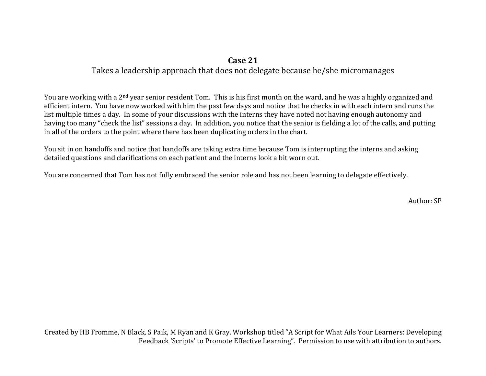## **Case 21**

## Takes a leadership approach that does not delegate because he/she micromanages

You are working with a 2<sup>nd</sup> year senior resident Tom. This is his first month on the ward, and he was a highly organized and efficient intern. You have now worked with him the past few days and notice that he checks in with each intern and runs the list multiple times a day. In some of your discussions with the interns they have noted not having enough autonomy and having too many "check the list" sessions a day. In addition, you notice that the senior is fielding a lot of the calls, and putting in all of the orders to the point where there has been duplicating orders in the chart.

You sit in on handoffs and notice that handoffs are taking extra time because Tom is interrupting the interns and asking detailed questions and clarifications on each patient and the interns look a bit worn out.

You are concerned that Tom has not fully embraced the senior role and has not been learning to delegate effectively.

Author: SP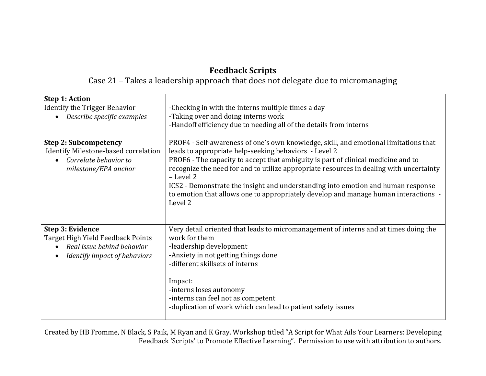## **Feedback Scripts**

Case 21 – Takes a leadership approach that does not delegate due to micromanaging

| <b>Step 1: Action</b><br>Identify the Trigger Behavior<br>Describe specific examples                                  | -Checking in with the interns multiple times a day<br>-Taking over and doing interns work<br>-Handoff efficiency due to needing all of the details from interns                                                                                                                                                                                                                                                                                                                                                                  |
|-----------------------------------------------------------------------------------------------------------------------|----------------------------------------------------------------------------------------------------------------------------------------------------------------------------------------------------------------------------------------------------------------------------------------------------------------------------------------------------------------------------------------------------------------------------------------------------------------------------------------------------------------------------------|
| <b>Step 2: Subcompetency</b><br>Identify Milestone-based correlation<br>Correlate behavior to<br>milestone/EPA anchor | PROF4 - Self-awareness of one's own knowledge, skill, and emotional limitations that<br>leads to appropriate help-seeking behaviors - Level 2<br>PROF6 - The capacity to accept that ambiguity is part of clinical medicine and to<br>recognize the need for and to utilize appropriate resources in dealing with uncertainty<br>- Level 2<br>ICS2 - Demonstrate the insight and understanding into emotion and human response<br>to emotion that allows one to appropriately develop and manage human interactions -<br>Level 2 |
| Step 3: Evidence<br>Target High Yield Feedback Points<br>Real issue behind behavior<br>Identify impact of behaviors   | Very detail oriented that leads to micromanagement of interns and at times doing the<br>work for them<br>-leadership development<br>-Anxiety in not getting things done<br>-different skillsets of interns<br>Impact:<br>-interns loses autonomy<br>-interns can feel not as competent<br>-duplication of work which can lead to patient safety issues                                                                                                                                                                           |

Created by HB Fromme, N Black, S Paik, M Ryan and K Gray. Workshop titled "A Script for What Ails Your Learners: Developing Feedback 'Scripts' to Promote Effective Learning". Permission to use with attribution to authors.